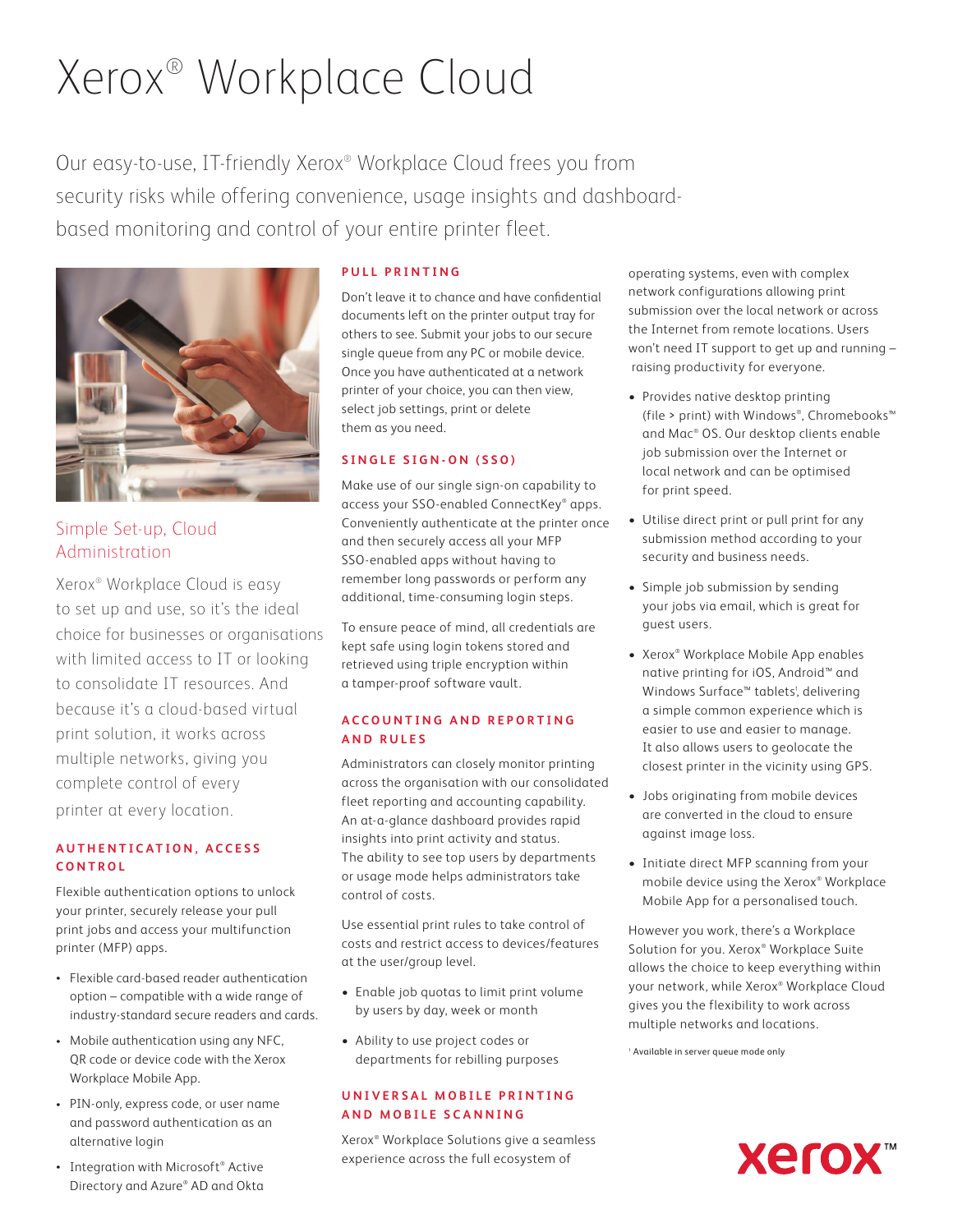# Xerox® Workplace Cloud

Our easy-to-use, IT-friendly Xerox® Workplace Cloud frees you from security risks while offering convenience, usage insights and dashboardbased monitoring and control of your entire printer fleet.



### Simple Set-up, Cloud Administration

Xerox® Workplace Cloud is easy to set up and use, so it's the ideal choice for businesses or organisations with limited access to IT or looking to consolidate IT resources. And because it's a cloud-based virtual print solution, it works across multiple networks, giving you complete control of every printer at every location.

#### **A U T H E N T I C A T I O N , A C C E S S CONTROL**

Flexible authentication options to unlock your printer, securely release your pull print jobs and access your multifunction printer (MFP) apps.

- Flexible card-based reader authentication option – compatible with a wide range of industry-standard secure readers and cards.
- Mobile authentication using any NFC, QR code or device code with the Xerox Workplace Mobile App.
- PIN-only, express code, or user name and password authentication as an alternative login
- Integration with Microsoft® Active Directory and Azure® AD and Okta

#### **PULL PRINTING**

Don't leave it to chance and have confidential documents left on the printer output tray for others to see. Submit your jobs to our secure single queue from any PC or mobile device. Once you have authenticated at a network printer of your choice, you can then view, select job settings, print or delete them as you need.

#### **S I N G L E S I G N - O N ( S S O )**

Make use of our single sign-on capability to access your SSO-enabled ConnectKey® apps. Conveniently authenticate at the printer once and then securely access all your MFP SSO-enabled apps without having to remember long passwords or perform any additional, time-consuming login steps.

To ensure peace of mind, all credentials are kept safe using login tokens stored and retrieved using triple encryption within a tamper-proof software vault.

#### **A C C O U N T I N G A N D R E P O R T I N G AND RULES**

Administrators can closely monitor printing across the organisation with our consolidated fleet reporting and accounting capability. An at-a-glance dashboard provides rapid insights into print activity and status. The ability to see top users by departments or usage mode helps administrators take control of costs.

Use essential print rules to take control of costs and restrict access to devices/features at the user/group level.

- Enable job quotas to limit print volume by users by day, week or month
- Ability to use project codes or departments for rebilling purposes

#### **U N I V E R S A L M O B I L E P R I N T I N G AND MOBILE SCANNING**

Xerox® Workplace Solutions give a seamless experience across the full ecosystem of

operating systems, even with complex network configurations allowing print submission over the local network or across the Internet from remote locations. Users won't need IT support to get up and running – raising productivity for everyone.

- Provides native desktop printing (file > print) with Windows® , Chromebooks™ and Mac® OS. Our desktop clients enable job submission over the Internet or local network and can be optimised for print speed.
- Utilise direct print or pull print for any submission method according to your security and business needs.
- Simple job submission by sending your jobs via email, which is great for guest users.
- Xerox® Workplace Mobile App enables native printing for iOS, Android™ and Windows Surface™ tablets<sup>1</sup>, delivering a simple common experience which is easier to use and easier to manage. It also allows users to geolocate the closest printer in the vicinity using GPS.
- Jobs originating from mobile devices are converted in the cloud to ensure against image loss.
- Initiate direct MFP scanning from your mobile device using the Xerox® Workplace Mobile App for a personalised touch.

However you work, there's a Workplace Solution for you. Xerox® Workplace Suite allows the choice to keep everything within your network, while Xerox® Workplace Cloud gives you the flexibility to work across multiple networks and locations.

1 Available in server queue mode only